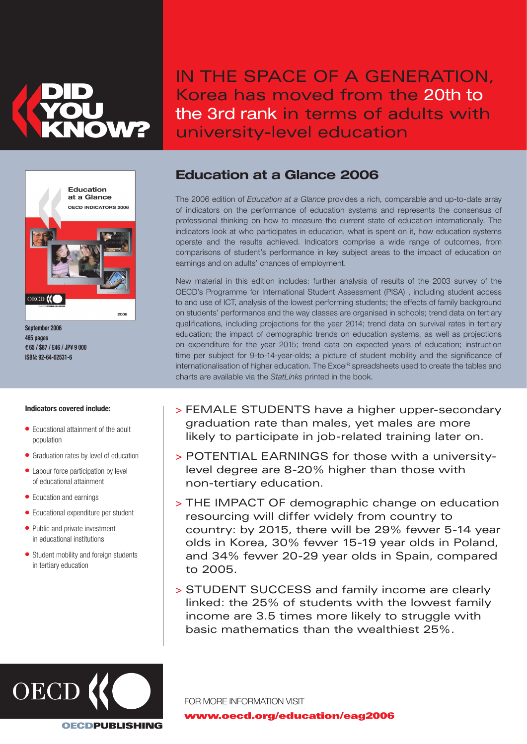

IN THE SPACE OF A GENERATION, Korea has moved from the 20th to the 3rd rank in terms of adults with university-level education



September 2006 465 pages **€**65 / \$87 / £46 / JP¥ 9 000 ISBN: 92-64-02531-6

## Indicators covered include:

- Educational attainment of the adult population
- Graduation rates by level of education
- Labour force participation by level of educational attainment
- Education and earnings
- Educational expenditure per student
- Public and private investment in educational institutions
- Student mobility and foreign students in tertiary education

## Education at a Glance 2006

The 2006 edition of Education at a Glance provides a rich, comparable and up-to-date array of indicators on the performance of education systems and represents the consensus of professional thinking on how to measure the current state of education internationally. The indicators look at who participates in education, what is spent on it, how education systems operate and the results achieved. Indicators comprise a wide range of outcomes, from comparisons of student's performance in key subject areas to the impact of education on earnings and on adults' chances of employment.

New material in this edition includes: further analysis of results of the 2003 survey of the OECD's Programme for International Student Assessment (PISA) , including student access to and use of ICT, analysis of the lowest performing students; the effects of family background on students' performance and the way classes are organised in schools; trend data on tertiary qualifications, including projections for the year 2014; trend data on survival rates in tertiary education; the impact of demographic trends on education systems, as well as projections on expenditure for the year 2015; trend data on expected years of education; instruction time per subject for 9-to-14-year-olds; a picture of student mobility and the significance of internationalisation of higher education. The Excel<sup>R</sup> spreadsheets used to create the tables and charts are available via the StatLinks printed in the book.

- > FEMALE STUDENTS have a higher upper-secondary graduation rate than males, yet males are more likely to participate in job-related training later on.
- > POTENTIAL EARNINGS for those with a universitylevel degree are 8-20% higher than those with non-tertiary education.
- > THE IMPACT OF demographic change on education resourcing will differ widely from country to country: by 2015, there will be 29% fewer 5-14 year olds in Korea, 30% fewer 15-19 year olds in Poland, and 34% fewer 20-29 year olds in Spain, compared to 2005.
- > STUDENT SUCCESS and family income are clearly linked: the 25% of students with the lowest family income are 3.5 times more likely to struggle with basic mathematics than the wealthiest 25%.



FOR MORE INFORMATION VISIT www.oecd.org/education/eag2006